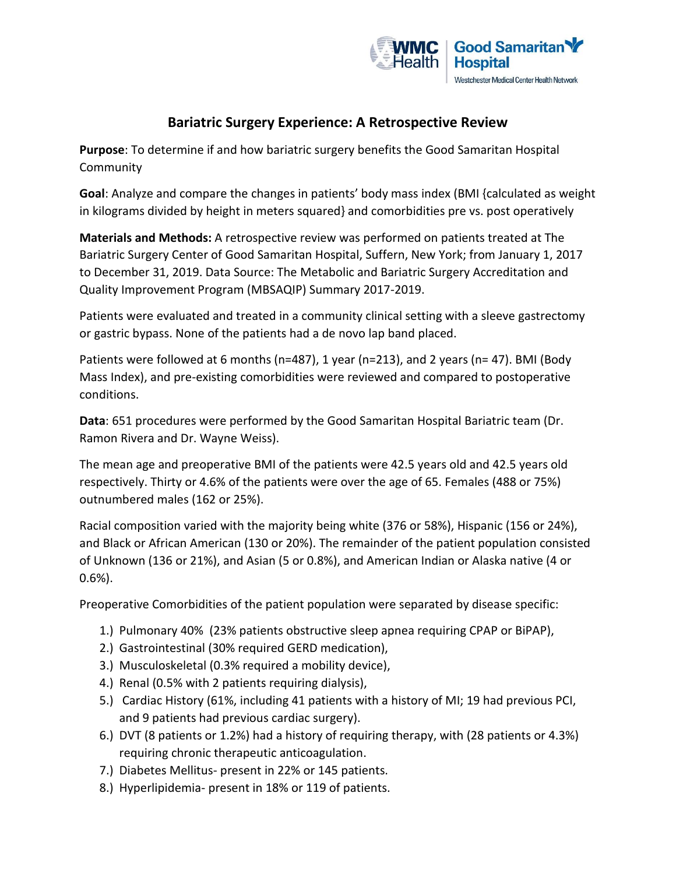

# **Bariatric Surgery Experience: A Retrospective Review**

**Purpose**: To determine if and how bariatric surgery benefits the Good Samaritan Hospital **Community** 

**Goal**: Analyze and compare the changes in patients' body mass index (BMI {calculated as weight in kilograms divided by height in meters squared} and comorbidities pre vs. post operatively

**Materials and Methods:** A retrospective review was performed on patients treated at The Bariatric Surgery Center of Good Samaritan Hospital, Suffern, New York; from January 1, 2017 to December 31, 2019. Data Source: The Metabolic and Bariatric Surgery Accreditation and Quality Improvement Program (MBSAQIP) Summary 2017-2019.

Patients were evaluated and treated in a community clinical setting with a sleeve gastrectomy or gastric bypass. None of the patients had a de novo lap band placed.

Patients were followed at 6 months (n=487), 1 year (n=213), and 2 years (n= 47). BMI (Body Mass Index), and pre-existing comorbidities were reviewed and compared to postoperative conditions.

**Data**: 651 procedures were performed by the Good Samaritan Hospital Bariatric team (Dr. Ramon Rivera and Dr. Wayne Weiss).

The mean age and preoperative BMI of the patients were 42.5 years old and 42.5 years old respectively. Thirty or 4.6% of the patients were over the age of 65. Females (488 or 75%) outnumbered males (162 or 25%).

Racial composition varied with the majority being white (376 or 58%), Hispanic (156 or 24%), and Black or African American (130 or 20%). The remainder of the patient population consisted of Unknown (136 or 21%), and Asian (5 or 0.8%), and American Indian or Alaska native (4 or 0.6%).

Preoperative Comorbidities of the patient population were separated by disease specific:

- 1.) Pulmonary 40% (23% patients obstructive sleep apnea requiring CPAP or BiPAP),
- 2.) Gastrointestinal (30% required GERD medication),
- 3.) Musculoskeletal (0.3% required a mobility device),
- 4.) Renal (0.5% with 2 patients requiring dialysis),
- 5.) Cardiac History (61%, including 41 patients with a history of MI; 19 had previous PCI, and 9 patients had previous cardiac surgery).
- 6.) DVT (8 patients or 1.2%) had a history of requiring therapy, with (28 patients or 4.3%) requiring chronic therapeutic anticoagulation.
- 7.) Diabetes Mellitus- present in 22% or 145 patients.
- 8.) Hyperlipidemia- present in 18% or 119 of patients.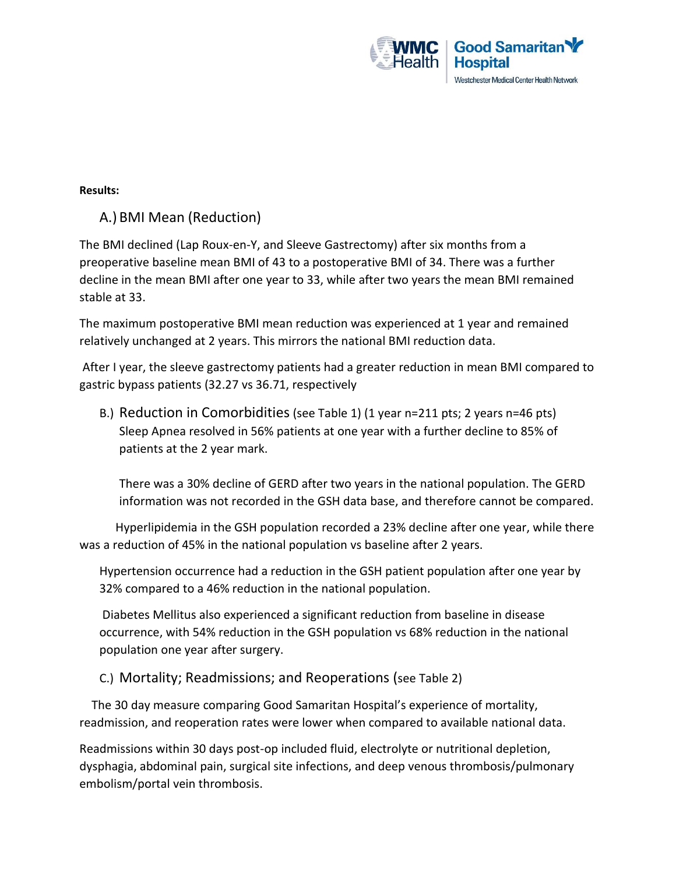

#### **Results:**

## A.) BMI Mean (Reduction)

The BMI declined (Lap Roux-en-Y, and Sleeve Gastrectomy) after six months from a preoperative baseline mean BMI of 43 to a postoperative BMI of 34. There was a further decline in the mean BMI after one year to 33, while after two years the mean BMI remained stable at 33.

The maximum postoperative BMI mean reduction was experienced at 1 year and remained relatively unchanged at 2 years. This mirrors the national BMI reduction data.

After I year, the sleeve gastrectomy patients had a greater reduction in mean BMI compared to gastric bypass patients (32.27 vs 36.71, respectively

B.) Reduction in Comorbidities (see Table 1) (1 year n=211 pts; 2 years n=46 pts) Sleep Apnea resolved in 56% patients at one year with a further decline to 85% of patients at the 2 year mark.

There was a 30% decline of GERD after two years in the national population. The GERD information was not recorded in the GSH data base, and therefore cannot be compared.

 Hyperlipidemia in the GSH population recorded a 23% decline after one year, while there was a reduction of 45% in the national population vs baseline after 2 years.

Hypertension occurrence had a reduction in the GSH patient population after one year by 32% compared to a 46% reduction in the national population.

Diabetes Mellitus also experienced a significant reduction from baseline in disease occurrence, with 54% reduction in the GSH population vs 68% reduction in the national population one year after surgery.

C.) Mortality; Readmissions; and Reoperations (see Table 2)

 The 30 day measure comparing Good Samaritan Hospital's experience of mortality, readmission, and reoperation rates were lower when compared to available national data.

Readmissions within 30 days post-op included fluid, electrolyte or nutritional depletion, dysphagia, abdominal pain, surgical site infections, and deep venous thrombosis/pulmonary embolism/portal vein thrombosis.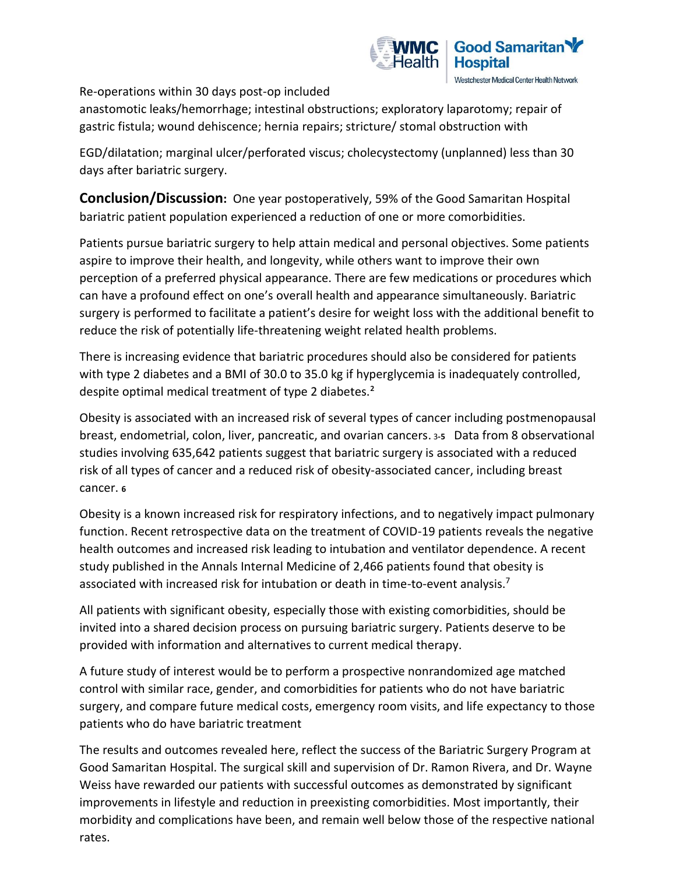

Re-operations within 30 days post-op included

anastomotic leaks/hemorrhage; intestinal obstructions; exploratory laparotomy; repair of gastric fistula; wound dehiscence; hernia repairs; stricture/ stomal obstruction with

EGD/dilatation; marginal ulcer/perforated viscus; cholecystectomy (unplanned) less than 30 days after bariatric surgery.

**Conclusion/Discussion:** One year postoperatively, 59% of the Good Samaritan Hospital bariatric patient population experienced a reduction of one or more comorbidities.

Patients pursue bariatric surgery to help attain medical and personal objectives. Some patients aspire to improve their health, and longevity, while others want to improve their own perception of a preferred physical appearance. There are few medications or procedures which can have a profound effect on one's overall health and appearance simultaneously. Bariatric surgery is performed to facilitate a patient's desire for weight loss with the additional benefit to reduce the risk of potentially life-threatening weight related health problems.

There is increasing evidence that bariatric procedures should also be considered for patients with type 2 diabetes and a BMI of 30.0 to 35.0 kg if hyperglycemia is inadequately controlled, despite optimal medical treatment of type 2 diabetes.<sup>2</sup>

Obesity is associated with an increased risk of several types of cancer including postmenopausal breast, endometrial, colon, liver, pancreatic, and ovarian cancers. <sup>3</sup>**-5** Data from 8 observational studies involving 635,642 patients suggest that bariatric surgery is associated with a reduced risk of all types of cancer and a reduced risk of obesity-associated cancer, including breast cancer. **<sup>6</sup>**

Obesity is a known increased risk for respiratory infections, and to negatively impact pulmonary function. Recent retrospective data on the treatment of COVID-19 patients reveals the negative health outcomes and increased risk leading to intubation and ventilator dependence. A recent study published in the Annals Internal Medicine of 2,466 patients found that obesity is associated with increased risk for intubation or death in time-to-event analysis.<sup>7</sup>

All patients with significant obesity, especially those with existing comorbidities, should be invited into a shared decision process on pursuing bariatric surgery. Patients deserve to be provided with information and alternatives to current medical therapy.

A future study of interest would be to perform a prospective nonrandomized age matched control with similar race, gender, and comorbidities for patients who do not have bariatric surgery, and compare future medical costs, emergency room visits, and life expectancy to those patients who do have bariatric treatment

The results and outcomes revealed here, reflect the success of the Bariatric Surgery Program at Good Samaritan Hospital. The surgical skill and supervision of Dr. Ramon Rivera, and Dr. Wayne Weiss have rewarded our patients with successful outcomes as demonstrated by significant improvements in lifestyle and reduction in preexisting comorbidities. Most importantly, their morbidity and complications have been, and remain well below those of the respective national rates.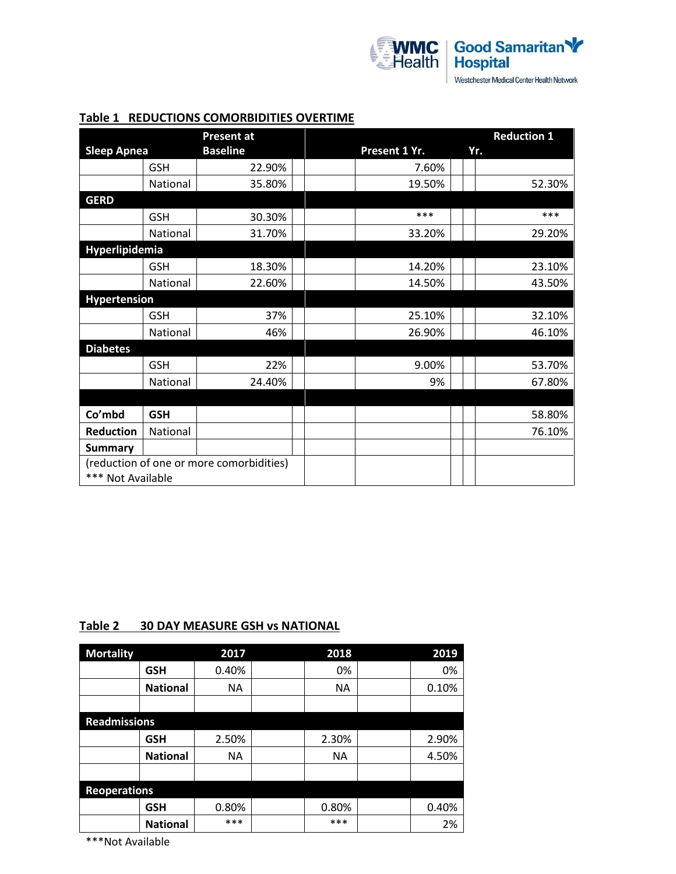

|                                          |            | <b>Present at</b> |               | <b>Reduction 1</b> |
|------------------------------------------|------------|-------------------|---------------|--------------------|
| <b>Sleep Apnea</b>                       |            | <b>Baseline</b>   | Present 1 Yr. | Yr.                |
|                                          | <b>GSH</b> | 22.90%            | 7.60%         |                    |
|                                          | National   | 35.80%            | 19.50%        | 52.30%             |
| <b>GERD</b>                              |            |                   |               |                    |
|                                          | <b>GSH</b> | 30.30%            | ***           | ***                |
|                                          | National   | 31.70%            | 33.20%        | 29.20%             |
| <b>Hyperlipidemia</b>                    |            |                   |               |                    |
|                                          | <b>GSH</b> | 18.30%            | 14.20%        | 23.10%             |
|                                          | National   | 22.60%            | 14.50%        | 43.50%             |
| <b>Hypertension</b>                      |            |                   |               |                    |
|                                          | <b>GSH</b> | 37%               | 25.10%        | 32.10%             |
|                                          | National   | 46%               | 26.90%        | 46.10%             |
| <b>Diabetes</b>                          |            |                   |               |                    |
|                                          | <b>GSH</b> | 22%               | 9.00%         | 53.70%             |
|                                          | National   | 24.40%            | 9%            | 67.80%             |
|                                          |            |                   |               |                    |
| Co'mbd                                   | <b>GSH</b> |                   |               | 58.80%             |
| <b>Reduction</b>                         | National   |                   |               | 76.10%             |
| <b>Summary</b>                           |            |                   |               |                    |
| (reduction of one or more comorbidities) |            |                   |               |                    |
| *** Not Available                        |            |                   |               |                    |

#### **Table 1 REDUCTIONS COMORBIDITIES OVERTIME**

### **Table 2 30 DAY MEASURE GSH vs NATIONAL**

| <b>Mortality</b>    |                 | 2017      | 2018      | 2019  |
|---------------------|-----------------|-----------|-----------|-------|
|                     | <b>GSH</b>      | 0.40%     | 0%        | 0%    |
|                     | <b>National</b> | <b>NA</b> | <b>NA</b> | 0.10% |
|                     |                 |           |           |       |
| <b>Readmissions</b> |                 |           |           |       |
|                     | <b>GSH</b>      | 2.50%     | 2.30%     | 2.90% |
|                     | <b>National</b> | <b>NA</b> | <b>NA</b> | 4.50% |
|                     |                 |           |           |       |
| <b>Reoperations</b> |                 |           |           |       |
|                     | <b>GSH</b>      | 0.80%     | 0.80%     | 0.40% |
|                     | <b>National</b> | ***       | ***       | 2%    |

\*\*\*Not Available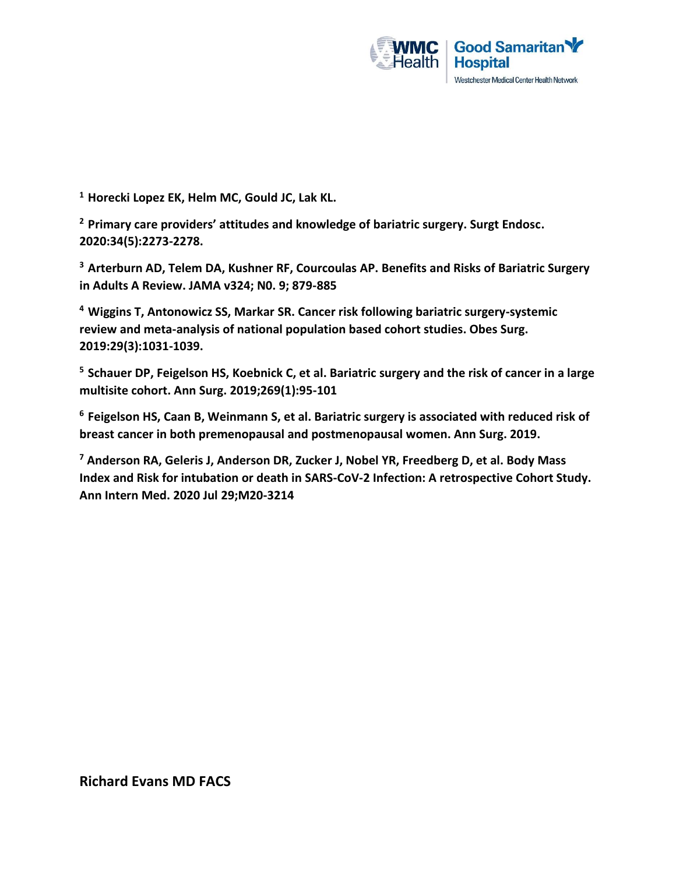

**<sup>1</sup>Horecki Lopez EK, Helm MC, Gould JC, Lak KL.** 

**<sup>2</sup> Primary care providers' attitudes and knowledge of bariatric surgery. Surgt Endosc. 2020:34(5):2273-2278.** 

**<sup>3</sup>Arterburn AD, Telem DA, Kushner RF, Courcoulas AP. Benefits and Risks of Bariatric Surgery in Adults A Review. JAMA v324; N0. 9; 879-885**

**<sup>4</sup>Wiggins T, Antonowicz SS, Markar SR. Cancer risk following bariatric surgery-systemic review and meta-analysis of national population based cohort studies. Obes Surg. 2019:29(3):1031-1039.**

**<sup>5</sup>Schauer DP, Feigelson HS, Koebnick C, et al. Bariatric surgery and the risk of cancer in a large multisite cohort. Ann Surg. 2019;269(1):95-101**

**<sup>6</sup>Feigelson HS, Caan B, Weinmann S, et al. Bariatric surgery is associated with reduced risk of breast cancer in both premenopausal and postmenopausal women. Ann Surg. 2019.**

**<sup>7</sup> Anderson RA, Geleris J, Anderson DR, Zucker J, Nobel YR, Freedberg D, et al. Body Mass Index and Risk for intubation or death in SARS-CoV-2 Infection: A retrospective Cohort Study. Ann Intern Med. 2020 Jul 29;M20-3214**